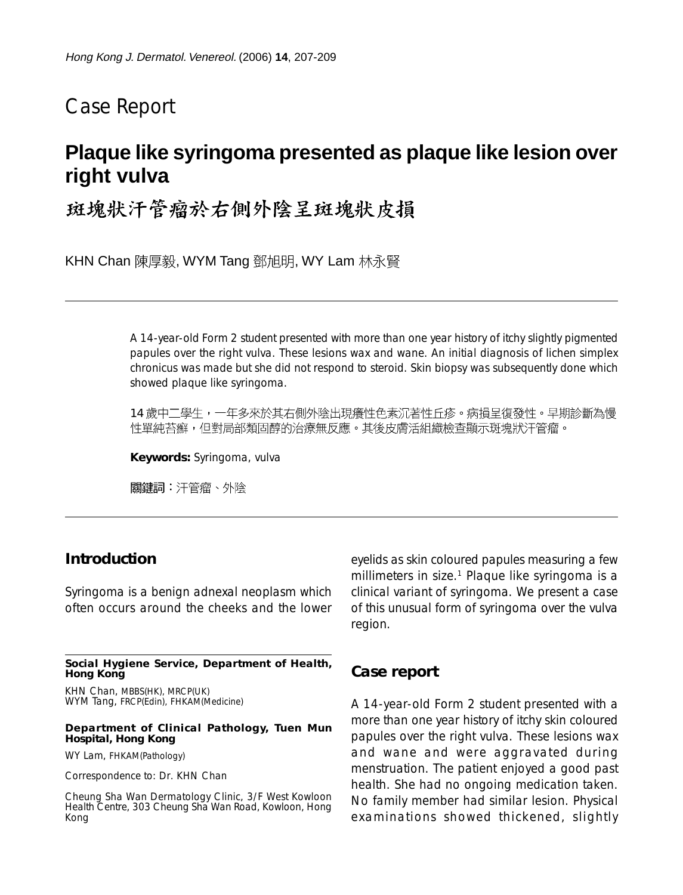# Case Report

# **Plaque like syringoma presented as plaque like lesion over right vulva**

# 斑塊狀汗管瘤於右側外陰呈斑塊狀皮損

KHN Chan 陳厚毅, WYM Tang 鄧旭明, WY Lam 林永賢

A 14-year-old Form 2 student presented with more than one year history of itchy slightly pigmented papules over the right vulva. These lesions wax and wane. An initial diagnosis of lichen simplex chronicus was made but she did not respond to steroid. Skin biopsy was subsequently done which showed plaque like syringoma.

14 歲中二學生,一年多來於其右側外陰出現癢性色素沉著性丘疹。病損呈復發性。早期診斷為慢 性單純苔癬,但對局部類固醇的治療無反應。其後皮膚活組織檢查顯示斑塊狀汗管瘤。

**Keywords:** Syringoma, vulva

關鍵詞:汗管瘤、外陰

### **Introduction**

Syringoma is a benign adnexal neoplasm which often occurs around the cheeks and the lower

**Social Hygiene Service, Department of Health, Hong Kong**

KHN Chan, MBBS(HK), MRCP(UK) WYM Tang, FRCP(Edin), FHKAM(Medicine)

#### **Department of Clinical Pathology, Tuen Mun Hospital, Hong Kong**

WY Lam, FHKAM(Pathology)

Correspondence to: Dr. KHN Chan

Cheung Sha Wan Dermatology Clinic, 3/F West Kowloon Health Centre, 303 Cheung Sha Wan Road, Kowloon, Hong Kong

eyelids as skin coloured papules measuring a few millimeters in size.<sup>1</sup> Plaque like syringoma is a clinical variant of syringoma. We present a case of this unusual form of syringoma over the vulva region.

### **Case report**

A 14-year-old Form 2 student presented with a more than one year history of itchy skin coloured papules over the right vulva. These lesions wax and wane and were aggravated during menstruation. The patient enjoyed a good past health. She had no ongoing medication taken. No family member had similar lesion. Physical examinations showed thickened, slightly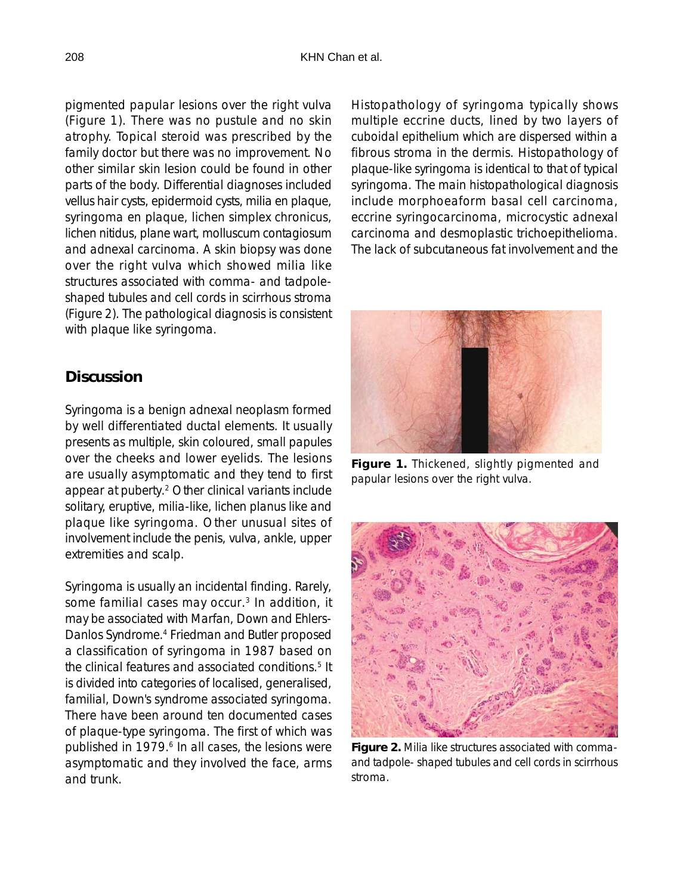pigmented papular lesions over the right vulva (Figure 1). There was no pustule and no skin atrophy. Topical steroid was prescribed by the family doctor but there was no improvement. No other similar skin lesion could be found in other parts of the body. Differential diagnoses included vellus hair cysts, epidermoid cysts, milia en plaque, syringoma en plaque, lichen simplex chronicus, lichen nitidus, plane wart, molluscum contagiosum and adnexal carcinoma. A skin biopsy was done over the right vulva which showed milia like structures associated with comma- and tadpoleshaped tubules and cell cords in scirrhous stroma (Figure 2). The pathological diagnosis is consistent with plaque like syringoma.

## **Discussion**

Syringoma is a benign adnexal neoplasm formed by well differentiated ductal elements. It usually presents as multiple, skin coloured, small papules over the cheeks and lower eyelids. The lesions are usually asymptomatic and they tend to first appear at puberty.2 Other clinical variants include solitary, eruptive, milia-like, lichen planus like and plaque like syringoma. Other unusual sites of involvement include the penis, vulva, ankle, upper extremities and scalp.

Syringoma is usually an incidental finding. Rarely, some familial cases may occur.<sup>3</sup> In addition, it may be associated with Marfan, Down and Ehlers-Danlos Syndrome.4 Friedman and Butler proposed a classification of syringoma in 1987 based on the clinical features and associated conditions.<sup>5</sup> It is divided into categories of localised, generalised, familial, Down's syndrome associated syringoma. There have been around ten documented cases of plaque-type syringoma. The first of which was published in 1979.<sup>6</sup> In all cases, the lesions were asymptomatic and they involved the face, arms and trunk.

Histopathology of syringoma typically shows multiple eccrine ducts, lined by two layers of cuboidal epithelium which are dispersed within a fibrous stroma in the dermis. Histopathology of plaque-like syringoma is identical to that of typical syringoma. The main histopathological diagnosis include morphoeaform basal cell carcinoma, eccrine syringocarcinoma, microcystic adnexal carcinoma and desmoplastic trichoepithelioma. The lack of subcutaneous fat involvement and the



**Figure 1.** Thickened, slightly pigmented and papular lesions over the right vulva.



**Figure 2.** Milia like structures associated with commaand tadpole- shaped tubules and cell cords in scirrhous stroma.